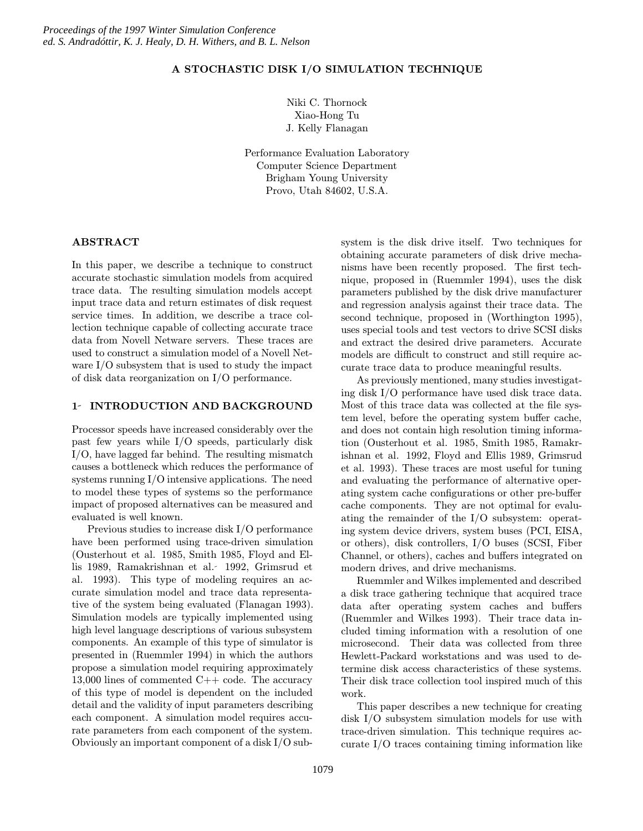# A STOCHASTIC DISK I/O SIMULATION TECHNIQUE

Niki C. Thornock Xiao-Hong Tu J. Kelly Flanagan

Performance Evaluation Laboratory Computer Science Department Brigham Young University Provo, Utah 84602, U.S.A.

## ABSTRACT

In this paper, we describe a technique to construct accurate stochastic simulation models from acquired trace data. The resulting simulation models accept input trace data and return estimates of disk request service times. In addition, we describe a trace collection technique capable of collecting accurate trace data from Novell Netware servers. These traces are used to construct a simulation model of a Novell Netware I/O subsystem that is used to study the impact of disk data reorganization on I/O performance.

#### 1- INTRODUCTION AND BACKGROUND

Processor speeds have increased considerably over the past few years while I/O speeds, particularly disk I/O, have lagged far behind. The resulting mismatch causes a bottleneck which reduces the performance of systems running I/O intensive applications. The need to model these types of systems so the performance impact of proposed alternatives can be measured and evaluated is well known.

Previous studies to increase disk I/O performance have been performed using trace-driven simulation (Ousterhout et al. 1985, Smith 1985, Floyd and Ellis 1989, Ramakrishnan et al. 1992, Grimsrud et al. 1993). This type of modeling requires an accurate simulation model and trace data representative of the system being evaluated (Flanagan 1993). Simulation models are typically implemented using high level language descriptions of various subsystem components. An example of this type of simulator is presented in (Ruemmler 1994) in which the authors propose a simulation model requiring approximately 13,000 lines of commented C++ code. The accuracy of this type of model is dependent on the included detail and the validity of input parameters describing each component. A simulation model requires accurate parameters from each component of the system. Obviously an important component of a disk I/O subsystem is the disk drive itself. Two techniques for obtaining accurate parameters of disk drive mechanisms have been recently proposed. The first technique, proposed in (Ruemmler 1994), uses the disk parameters published by the disk drive manufacturer and regression analysis against their trace data. The second technique, proposed in (Worthington 1995), uses special tools and test vectors to drive SCSI disks and extract the desired drive parameters. Accurate models are difficult to construct and still require accurate trace data to produce meaningful results.

As previously mentioned, many studies investigating disk I/O performance have used disk trace data. Most of this trace data was collected at the file system level, before the operating system buffer cache, and does not contain high resolution timing information (Ousterhout et al. 1985, Smith 1985, Ramakrishnan et al. 1992, Floyd and Ellis 1989, Grimsrud et al. 1993). These traces are most useful for tuning and evaluating the performance of alternative operating system cache configurations or other pre-buffer cache components. They are not optimal for evaluating the remainder of the I/O subsystem: operating system device drivers, system buses (PCI, EISA, or others), disk controllers, I/O buses (SCSI, Fiber Channel, or others), caches and buffers integrated on modern drives, and drive mechanisms.

Ruemmler and Wilkes implemented and described a disk trace gathering technique that acquired trace data after operating system caches and buffers (Ruemmler and Wilkes 1993). Their trace data included timing information with a resolution of one microsecond. Their data was collected from three Hewlett-Packard workstations and was used to determine disk access characteristics of these systems. Their disk trace collection tool inspired much of this work.

This paper describes a new technique for creating disk I/O subsystem simulation models for use with trace-driven simulation. This technique requires accurate I/O traces containing timing information like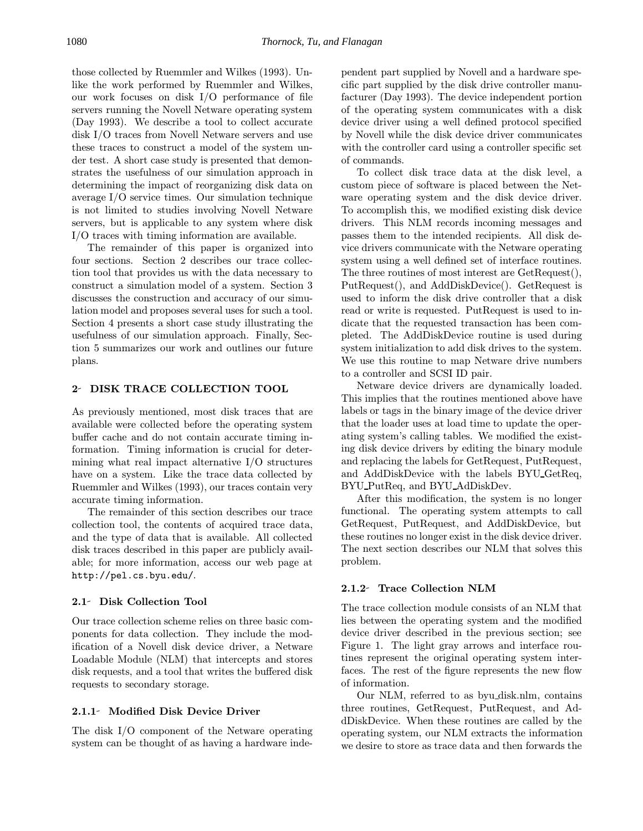those collected by Ruemmler and Wilkes (1993). Unlike the work performed by Ruemmler and Wilkes, our work focuses on disk I/O performance of file servers running the Novell Netware operating system (Day 1993). We describe a tool to collect accurate disk I/O traces from Novell Netware servers and use these traces to construct a model of the system under test. A short case study is presented that demonstrates the usefulness of our simulation approach in determining the impact of reorganizing disk data on average I/O service times. Our simulation technique is not limited to studies involving Novell Netware servers, but is applicable to any system where disk I/O traces with timing information are available.

The remainder of this paper is organized into four sections. Section 2 describes our trace collection tool that provides us with the data necessary to construct a simulation model of a system. Section 3 discusses the construction and accuracy of our simulation model and proposes several uses for such a tool. Section 4 presents a short case study illustrating the usefulness of our simulation approach. Finally, Section 5 summarizes our work and outlines our future plans.

## 2 DISK TRACE COLLECTION TOOL

As previously mentioned, most disk traces that are available were collected before the operating system buffer cache and do not contain accurate timing information. Timing information is crucial for determining what real impact alternative I/O structures have on a system. Like the trace data collected by Ruemmler and Wilkes (1993), our traces contain very accurate timing information.

The remainder of this section describes our trace collection tool, the contents of acquired trace data, and the type of data that is available. All collected disk traces described in this paper are publicly available; for more information, access our web page at http://pel.cs.byu.edu/.

#### 2.1 Disk Collection Tool

Our trace collection scheme relies on three basic components for data collection. They include the modification of a Novell disk device driver, a Netware Loadable Module (NLM) that intercepts and stores disk requests, and a tool that writes the buffered disk requests to secondary storage.

### 2.1.1 Modified Disk Device Driver

The disk I/O component of the Netware operating system can be thought of as having a hardware independent part supplied by Novell and a hardware specific part supplied by the disk drive controller manufacturer (Day 1993). The device independent portion of the operating system communicates with a disk device driver using a well defined protocol specified by Novell while the disk device driver communicates with the controller card using a controller specific set of commands.

To collect disk trace data at the disk level, a custom piece of software is placed between the Netware operating system and the disk device driver. To accomplish this, we modified existing disk device drivers. This NLM records incoming messages and passes them to the intended recipients. All disk device drivers communicate with the Netware operating system using a well defined set of interface routines. The three routines of most interest are GetRequest(), PutRequest(), and AddDiskDevice(). GetRequest is used to inform the disk drive controller that a disk read or write is requested. PutRequest is used to indicate that the requested transaction has been completed. The AddDiskDevice routine is used during system initialization to add disk drives to the system. We use this routine to map Netware drive numbers to a controller and SCSI ID pair.

Netware device drivers are dynamically loaded. This implies that the routines mentioned above have labels or tags in the binary image of the device driver that the loader uses at load time to update the operating system's calling tables. We modified the existing disk device drivers by editing the binary module and replacing the labels for GetRequest, PutRequest, and AddDiskDevice with the labels BYU GetReq, BYU PutReq, and BYU AdDiskDev.

After this modification, the system is no longer functional. The operating system attempts to call GetRequest, PutRequest, and AddDiskDevice, but these routines no longer exist in the disk device driver. The next section describes our NLM that solves this problem.

### 2.1.2 Trace Collection NLM

The trace collection module consists of an NLM that lies between the operating system and the modified device driver described in the previous section; see Figure 1. The light gray arrows and interface routines represent the original operating system interfaces. The rest of the figure represents the new flow of information.

Our NLM, referred to as byu disk.nlm, contains three routines, GetRequest, PutRequest, and AddDiskDevice. When these routines are called by the operating system, our NLM extracts the information we desire to store as trace data and then forwards the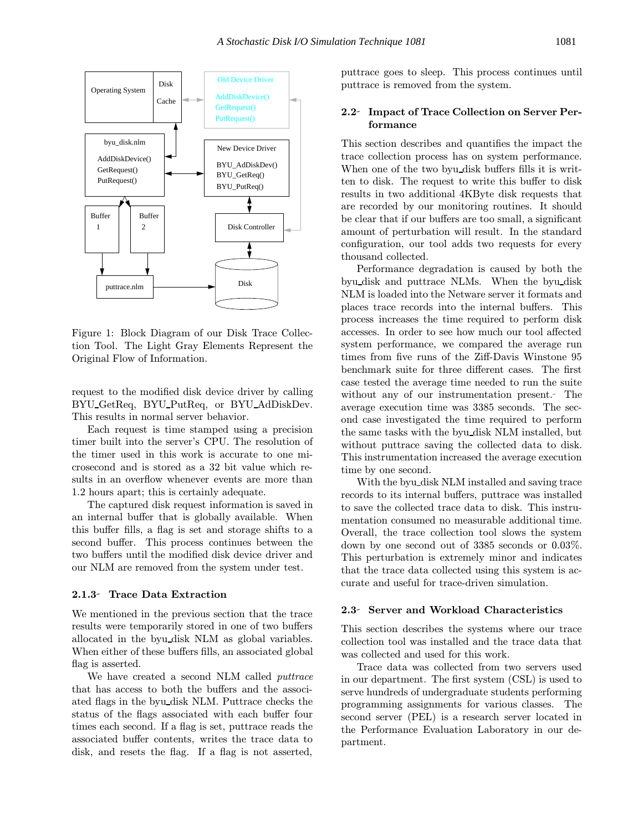

Figure 1: Block Diagram of our Disk Trace Collection Tool. The Light Gray Elements Represent the Original Flow of Information.

This results in normal server behavior. request to the modified disk device driver by calling BYU GetReq, BYU PutReq, or BYU AdDiskDev.

Each request is time stamped using a precision timer built into the server's CPU. The resolution of the timer used in this work is accurate to one microsecond and is stored as a 32 bit value which results in an overflow whenever events are more than 1.2 hours apart; this is certainly adequate.

The captured disk request information is saved in an internal buffer that is globally available. When this buffer fills, a flag is set and storage shifts to a second buffer. This process continues between the two buffers until the modified disk device driver and our NLM are removed from the system under test.

#### 2.1.3 Trace Data Extraction

We mentioned in the previous section that the trace results were temporarily stored in one of two buffers allocated in the byu disk NLM as global variables. When either of these buffers fills, an associated global flag is asserted.

We have created a second NLM called puttrace that has access to both the buffers and the associated flags in the byu disk NLM. Puttrace checks the status of the flags associated with each buffer four times each second. If a flag is set, puttrace reads the associated buffer contents, writes the trace data to disk, and resets the flag. If a flag is not asserted,

puttrace goes to sleep. This process continues until puttrace is removed from the system.

### 2.2 Impact of Trace Collection on Server Performance

This section describes and quantifies the impact the trace collection process has on system performance. When one of the two byu disk buffers fills it is written to disk. The request to write this buffer to disk results in two additional 4KByte disk requests that are recorded by our monitoring routines. It should be clear that if our buffers are too small, a significant amount of perturbation will result. In the standard configuration, our tool adds two requests for every thousand collected.

Performance degradation is caused by both the byu disk and puttrace NLMs. When the byu disk NLM is loaded into the Netware server it formats and places trace records into the internal buffers. This process increases the time required to perform disk accesses. In order to see how much our tool affected system performance, we compared the average run times from five runs of the Ziff-Davis Winstone 95 benchmark suite for three different cases. The first case tested the average time needed to run the suite without any of our instrumentation present. The average execution time was 3385 seconds. The second case investigated the time required to perform the same tasks with the byu disk NLM installed, but without puttrace saving the collected data to disk. This instrumentation increased the average execution time by one second.

With the byu\_disk NLM installed and saving trace records to its internal buffers, puttrace was installed to save the collected trace data to disk. This instrumentation consumed no measurable additional time. Overall, the trace collection tool slows the system down by one second out of 3385 seconds or 0.03%. This perturbation is extremely minor and indicates that the trace data collected using this system is accurate and useful for trace-driven simulation.

### 2.3 Server and Workload Characteristics

This section describes the systems where our trace collection tool was installed and the trace data that was collected and used for this work.

Trace data was collected from two servers used in our department. The first system (CSL) is used to serve hundreds of undergraduate students performing programming assignments for various classes. The second server (PEL) is a research server located in the Performance Evaluation Laboratory in our department.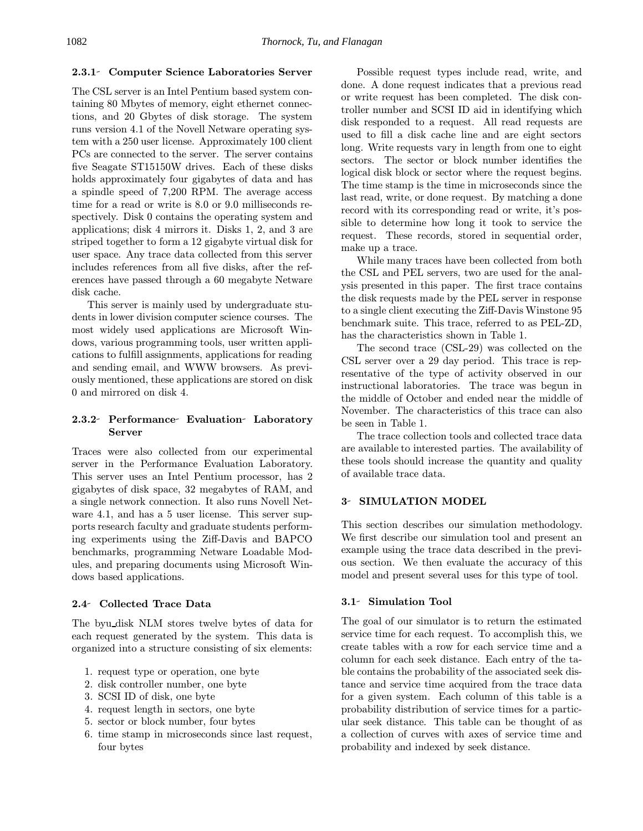### 2.3.1 Computer Science Laboratories Server

The CSL server is an Intel Pentium based system containing 80 Mbytes of memory, eight ethernet connections, and 20 Gbytes of disk storage. The system runs version 4.1 of the Novell Netware operating system with a 250 user license. Approximately 100 client PCs are connected to the server. The server contains five Seagate ST15150W drives. Each of these disks holds approximately four gigabytes of data and has a spindle speed of 7,200 RPM. The average access time for a read or write is 8.0 or 9.0 milliseconds respectively. Disk 0 contains the operating system and applications; disk 4 mirrors it. Disks 1, 2, and 3 are striped together to form a 12 gigabyte virtual disk for user space. Any trace data collected from this server includes references from all five disks, after the references have passed through a 60 megabyte Netware disk cache.

This server is mainly used by undergraduate students in lower division computer science courses. The most widely used applications are Microsoft Windows, various programming tools, user written applications to fulfill assignments, applications for reading and sending email, and WWW browsers. As previously mentioned, these applications are stored on disk 0 and mirrored on disk 4.

## 2.3.2 Performance Evaluation Laboratory Server

Traces were also collected from our experimental server in the Performance Evaluation Laboratory. This server uses an Intel Pentium processor, has 2 gigabytes of disk space, 32 megabytes of RAM, and a single network connection. It also runs Novell Netware 4.1, and has a 5 user license. This server supports research faculty and graduate students performing experiments using the Ziff-Davis and BAPCO benchmarks, programming Netware Loadable Modules, and preparing documents using Microsoft Windows based applications.

### 2.4 Collected Trace Data

The byu disk NLM stores twelve bytes of data for each request generated by the system. This data is organized into a structure consisting of six elements:

- 1. request type or operation, one byte
- 2. disk controller number, one byte
- 3. SCSI ID of disk, one byte
- 4. request length in sectors, one byte
- 5. sector or block number, four bytes
- 6. time stamp in microseconds since last request, four bytes

Possible request types include read, write, and done. A done request indicates that a previous read or write request has been completed. The disk controller number and SCSI ID aid in identifying which disk responded to a request. All read requests are used to fill a disk cache line and are eight sectors long. Write requests vary in length from one to eight sectors. The sector or block number identifies the logical disk block or sector where the request begins. The time stamp is the time in microseconds since the last read, write, or done request. By matching a done record with its corresponding read or write, it's possible to determine how long it took to service the request. These records, stored in sequential order, make up a trace.

While many traces have been collected from both the CSL and PEL servers, two are used for the analysis presented in this paper. The first trace contains the disk requests made by the PEL server in response to a single client executing the Ziff-Davis Winstone 95 benchmark suite. This trace, referred to as PEL-ZD, has the characteristics shown in Table 1.

The second trace (CSL-29) was collected on the CSL server over a 29 day period. This trace is representative of the type of activity observed in our instructional laboratories. The trace was begun in the middle of October and ended near the middle of November. The characteristics of this trace can also be seen in Table 1.

The trace collection tools and collected trace data are available to interested parties. The availability of these tools should increase the quantity and quality of available trace data.

## 3- SIMULATION MODEL

This section describes our simulation methodology. We first describe our simulation tool and present an example using the trace data described in the previous section. We then evaluate the accuracy of this model and present several uses for this type of tool.

### 3.1 Simulation Tool

The goal of our simulator is to return the estimated service time for each request. To accomplish this, we create tables with a row for each service time and a column for each seek distance. Each entry of the table contains the probability of the associated seek distance and service time acquired from the trace data for a given system. Each column of this table is a probability distribution of service times for a particular seek distance. This table can be thought of as a collection of curves with axes of service time and probability and indexed by seek distance.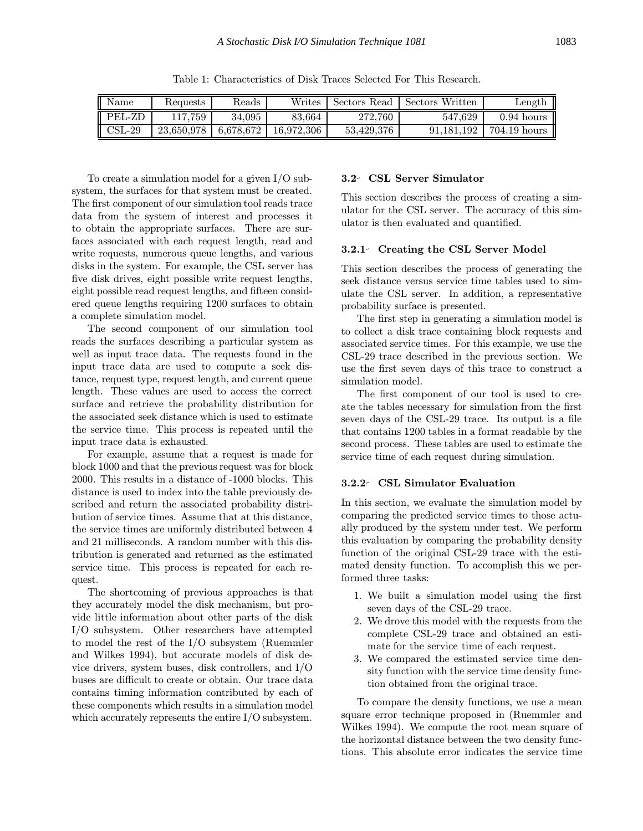Name Requests Reads Writes Sectors Read Sectors Written Length PEL-ZD | 117,759 | 34,095 | 83,664 | 272,760 | 547,629 | 0.94 hours CSL-29  $\mid$  23,650,978  $\mid$  6,678,672  $\mid$  16,972,306  $\mid$  53,429,376  $\mid$  91,181,192 704.19 hours

Table 1: Characteristics of Disk Traces Selected For This Research.

To create a simulation model for a given I/O subsystem, the surfaces for that system must be created. The first component of our simulation tool reads trace data from the system of interest and processes it to obtain the appropriate surfaces. There are surfaces associated with each request length, read and write requests, numerous queue lengths, and various disks in the system. For example, the CSL server has five disk drives, eight possible write request lengths, eight possible read request lengths, and fifteen considered queue lengths requiring 1200 surfaces to obtain a complete simulation model.

The second component of our simulation tool reads the surfaces describing a particular system as well as input trace data. The requests found in the input trace data are used to compute a seek distance, request type, request length, and current queue length. These values are used to access the correct surface and retrieve the probability distribution for the associated seek distance which is used to estimate the service time. This process is repeated until the input trace data is exhausted.

For example, assume that a request is made for block 1000 and that the previous request was for block 2000. This results in a distance of -1000 blocks. This distance is used to index into the table previously described and return the associated probability distribution of service times. Assume that at this distance, the service times are uniformly distributed between 4 and 21 milliseconds. A random number with this distribution is generated and returned as the estimated service time. This process is repeated for each request.

The shortcoming of previous approaches is that they accurately model the disk mechanism, but provide little information about other parts of the disk I/O subsystem. Other researchers have attempted to model the rest of the I/O subsystem (Ruemmler and Wilkes 1994), but accurate models of disk device drivers, system buses, disk controllers, and I/O buses are difficult to create or obtain. Our trace data contains timing information contributed by each of these components which results in a simulation model which accurately represents the entire I/O subsystem.

# 3.2 CSL Server Simulator

This section describes the process of creating a simulator for the CSL server. The accuracy of this simulator is then evaluated and quantified.

### 3.2.1 Creating the CSL Server Model

This section describes the process of generating the seek distance versus service time tables used to simulate the CSL server. In addition, a representative probability surface is presented.

The first step in generating a simulation model is to collect a disk trace containing block requests and associated service times. For this example, we use the CSL-29 trace described in the previous section. We use the first seven days of this trace to construct a simulation model.

The first component of our tool is used to create the tables necessary for simulation from the first seven days of the CSL-29 trace. Its output is a file that contains 1200 tables in a format readable by the second process. These tables are used to estimate the service time of each request during simulation.

### 3.2.2 CSL Simulator Evaluation

In this section, we evaluate the simulation model by comparing the predicted service times to those actually produced by the system under test. We perform this evaluation by comparing the probability density function of the original CSL-29 trace with the estimated density function. To accomplish this we performed three tasks:

- 1. We built a simulation model using the first seven days of the CSL-29 trace.
- 2. We drove this model with the requests from the complete CSL-29 trace and obtained an estimate for the service time of each request.
- 3. We compared the estimated service time density function with the service time density function obtained from the original trace.

To compare the density functions, we use a mean square error technique proposed in (Ruemmler and Wilkes 1994). We compute the root mean square of the horizontal distance between the two density functions. This absolute error indicates the service time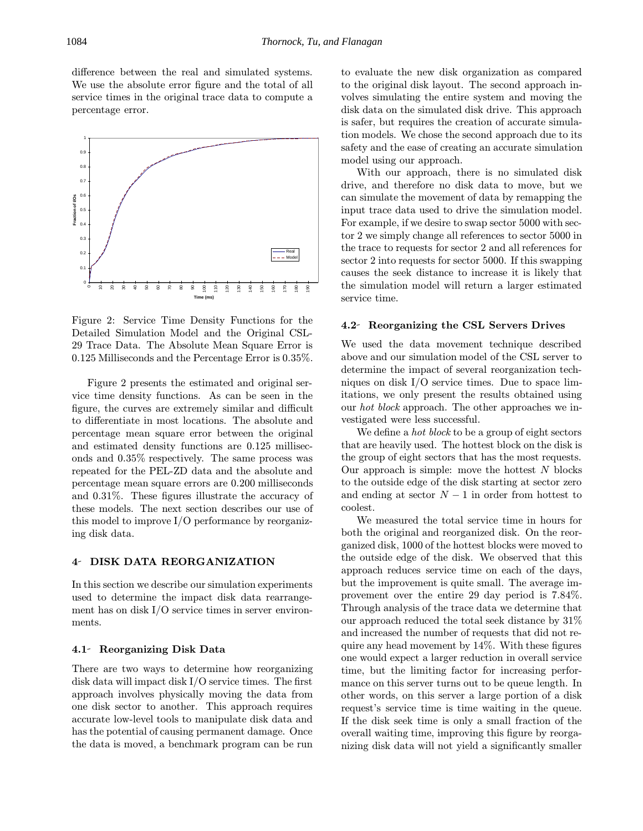difference between the real and simulated systems. We use the absolute error figure and the total of all service times in the original trace data to compute a percentage error.



Figure 2: Service Time Density Functions for the Detailed Simulation Model and the Original CSL-29 Trace Data. The Absolute Mean Square Error is 0.125 Milliseconds and the Percentage Error is 0.35%.

Figure 2 presents the estimated and original service time density functions. As can be seen in the figure, the curves are extremely similar and difficult to differentiate in most locations. The absolute and percentage mean square error between the original and estimated density functions are 0.125 milliseconds and 0.35% respectively. The same process was repeated for the PEL-ZD data and the absolute and percentage mean square errors are 0.200 milliseconds and 0.31%. These figures illustrate the accuracy of these models. The next section describes our use of this model to improve I/O performance by reorganizing disk data.

### 4 DISK DATA REORGANIZATION

In this section we describe our simulation experiments used to determine the impact disk data rearrangement has on disk I/O service times in server environments.

#### 4.1 Reorganizing Disk Data

There are two ways to determine how reorganizing disk data will impact disk I/O service times. The first approach involves physically moving the data from one disk sector to another. This approach requires accurate low-level tools to manipulate disk data and has the potential of causing permanent damage. Once the data is moved, a benchmark program can be run

to evaluate the new disk organization as compared to the original disk layout. The second approach involves simulating the entire system and moving the disk data on the simulated disk drive. This approach is safer, but requires the creation of accurate simulation models. We chose the second approach due to its safety and the ease of creating an accurate simulation model using our approach.

With our approach, there is no simulated disk drive, and therefore no disk data to move, but we can simulate the movement of data by remapping the input trace data used to drive the simulation model. For example, if we desire to swap sector 5000 with sector 2 we simply change all references to sector 5000 in the trace to requests for sector 2 and all references for sector 2 into requests for sector 5000. If this swapping causes the seek distance to increase it is likely that the simulation model will return a larger estimated service time.

### 4.2 Reorganizing the CSL Servers Drives

We used the data movement technique described above and our simulation model of the CSL server to determine the impact of several reorganization techniques on disk I/O service times. Due to space limitations, we only present the results obtained using our hot block approach. The other approaches we investigated were less successful.

We define a *hot block* to be a group of eight sectors that are heavily used. The hottest block on the disk is the group of eight sectors that has the most requests. Our approach is simple: move the hottest  $N$  blocks to the outside edge of the disk starting at sector zero and ending at sector  $N-1$  in order from hottest to coolest.

We measured the total service time in hours for both the original and reorganized disk. On the reorganized disk, 1000 of the hottest blocks were moved to the outside edge of the disk. We observed that this approach reduces service time on each of the days, but the improvement is quite small. The average improvement over the entire 29 day period is 7.84%. Through analysis of the trace data we determine that our approach reduced the total seek distance by 31% and increased the number of requests that did not require any head movement by 14%. With these figures one would expect a larger reduction in overall service time, but the limiting factor for increasing performance on this server turns out to be queue length. In other words, on this server a large portion of a disk request's service time is time waiting in the queue. If the disk seek time is only a small fraction of the overall waiting time, improving this figure by reorganizing disk data will not yield a significantly smaller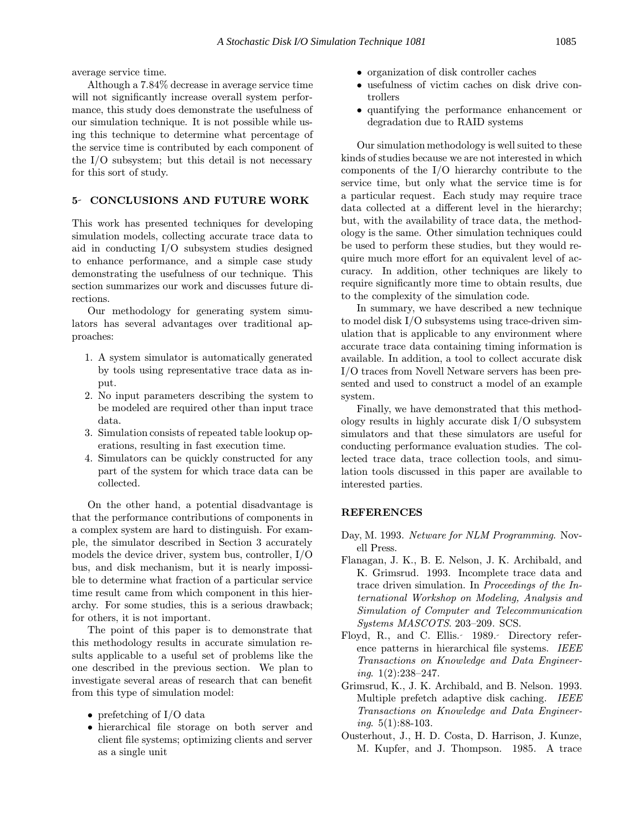average service time.

Although a 7.84% decrease in average service time will not significantly increase overall system performance, this study does demonstrate the usefulness of our simulation technique. It is not possible while using this technique to determine what percentage of the service time is contributed by each component of the I/O subsystem; but this detail is not necessary for this sort of study.

### 5- CONCLUSIONS AND FUTURE WORK

This work has presented techniques for developing simulation models, collecting accurate trace data to aid in conducting I/O subsystem studies designed to enhance performance, and a simple case study demonstrating the usefulness of our technique. This section summarizes our work and discusses future directions.

Our methodology for generating system simulators has several advantages over traditional approaches:

- 1. A system simulator is automatically generated by tools using representative trace data as input.
- 2. No input parameters describing the system to be modeled are required other than input trace data.
- 3. Simulation consists of repeated table lookup operations, resulting in fast execution time.
- 4. Simulators can be quickly constructed for any part of the system for which trace data can be collected.

On the other hand, a potential disadvantage is that the performance contributions of components in a complex system are hard to distinguish. For example, the simulator described in Section 3 accurately models the device driver, system bus, controller, I/O bus, and disk mechanism, but it is nearly impossible to determine what fraction of a particular service time result came from which component in this hierarchy. For some studies, this is a serious drawback; for others, it is not important.

The point of this paper is to demonstrate that this methodology results in accurate simulation results applicable to a useful set of problems like the one described in the previous section. We plan to investigate several areas of research that can benefit from this type of simulation model:

- prefetching of  $I/O$  data
- hierarchical file storage on both server and client file systems; optimizing clients and server as a single unit
- organization of disk controller caches
- usefulness of victim caches on disk drive controllers
- quantifying the performance enhancement or degradation due to RAID systems

Our simulation methodology is well suited to these kinds of studies because we are not interested in which components of the I/O hierarchy contribute to the service time, but only what the service time is for a particular request. Each study may require trace data collected at a different level in the hierarchy; but, with the availability of trace data, the methodology is the same. Other simulation techniques could be used to perform these studies, but they would require much more effort for an equivalent level of accuracy. In addition, other techniques are likely to require significantly more time to obtain results, due to the complexity of the simulation code.

In summary, we have described a new technique to model disk I/O subsystems using trace-driven simulation that is applicable to any environment where accurate trace data containing timing information is available. In addition, a tool to collect accurate disk I/O traces from Novell Netware servers has been presented and used to construct a model of an example system.

Finally, we have demonstrated that this methodology results in highly accurate disk I/O subsystem simulators and that these simulators are useful for conducting performance evaluation studies. The collected trace data, trace collection tools, and simulation tools discussed in this paper are available to interested parties.

#### **REFERENCES**

- Day, M. 1993. Netware for NLM Programming. Novell Press.
- Flanagan, J. K., B. E. Nelson, J. K. Archibald, and K. Grimsrud. 1993. Incomplete trace data and trace driven simulation. In Proceedings of the International Workshop on Modeling, Analysis and Simulation of Computer and Telecommunication Systems MASCOTS. 203–209. SCS.
- Floyd, R., and C. Ellis. 1989. Directory reference patterns in hierarchical file systems. IEEE Transactions on Knowledge and Data Engineering.  $1(2):238-247$ .
- Grimsrud, K., J. K. Archibald, and B. Nelson. 1993. Multiple prefetch adaptive disk caching. IEEE Transactions on Knowledge and Data Engineering.  $5(1):88-103$ .
- Ousterhout, J., H. D. Costa, D. Harrison, J. Kunze, M. Kupfer, and J. Thompson. 1985. A trace